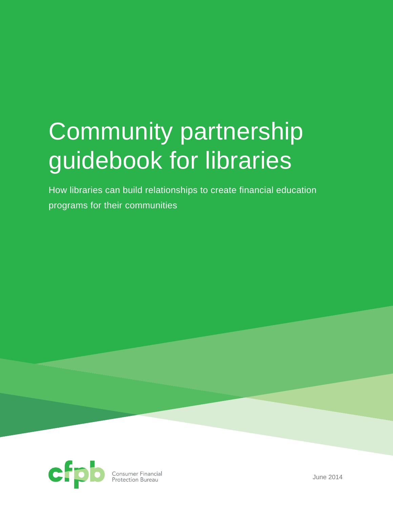# Community partnership guidebook for libraries

How libraries can build relationships to create financial education programs for their communities



**Consumer Financial**<br>Protection Bureau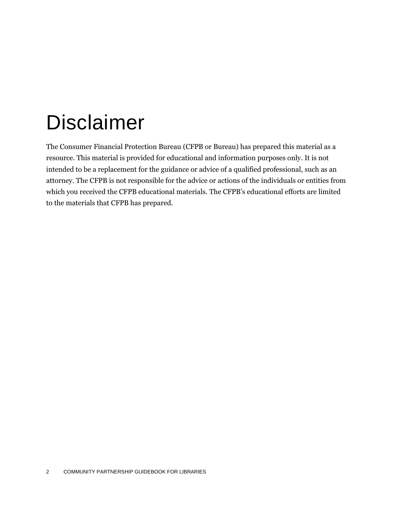## Disclaimer

The Consumer Financial Protection Bureau (CFPB or Bureau) has prepared this material as a resource. This material is provided for educational and information purposes only. It is not intended to be a replacement for the guidance or advice of a qualified professional, such as an attorney. The CFPB is not responsible for the advice or actions of the individuals or entities from which you received the CFPB educational materials. The CFPB's educational efforts are limited to the materials that CFPB has prepared.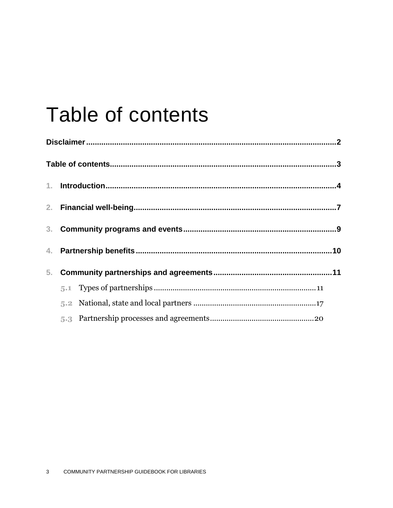## Table of contents

| 3 <sub>1</sub> |  |  |  |  |  |
|----------------|--|--|--|--|--|
|                |  |  |  |  |  |
| 5 <sub>1</sub> |  |  |  |  |  |
|                |  |  |  |  |  |
|                |  |  |  |  |  |
|                |  |  |  |  |  |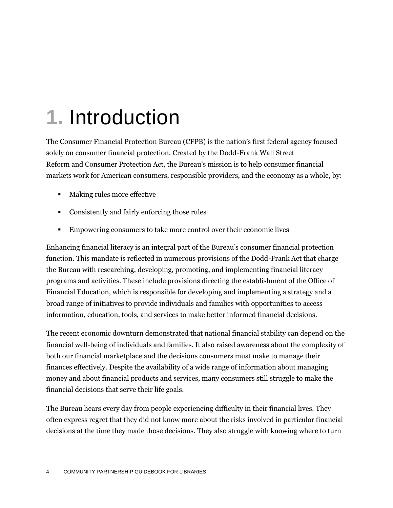# **1.** Introduction

The Consumer Financial Protection Bureau (CFPB) is the nation's first federal agency focused solely on consumer financial protection. Created by the Dodd-Frank Wall Street Reform and Consumer Protection Act, the Bureau's mission is to help consumer financial markets work for American consumers, responsible providers, and the economy as a whole, by:

- Making rules more effective
- Consistently and fairly enforcing those rules
- Empowering consumers to take more control over their economic lives

Enhancing financial literacy is an integral part of the Bureau's consumer financial protection function. This mandate is reflected in numerous provisions of the Dodd-Frank Act that charge the Bureau with researching, developing, promoting, and implementing financial literacy programs and activities. These include provisions directing the establishment of the Office of Financial Education, which is responsible for developing and implementing a strategy and a broad range of initiatives to provide individuals and families with opportunities to access information, education, tools, and services to make better informed financial decisions.

The recent economic downturn demonstrated that national financial stability can depend on the financial well-being of individuals and families. It also raised awareness about the complexity of both our financial marketplace and the decisions consumers must make to manage their finances effectively. Despite the availability of a wide range of information about managing money and about financial products and services, many consumers still struggle to make the financial decisions that serve their life goals.

The Bureau hears every day from people experiencing difficulty in their financial lives. They often express regret that they did not know more about the risks involved in particular financial decisions at the time they made those decisions. They also struggle with knowing where to turn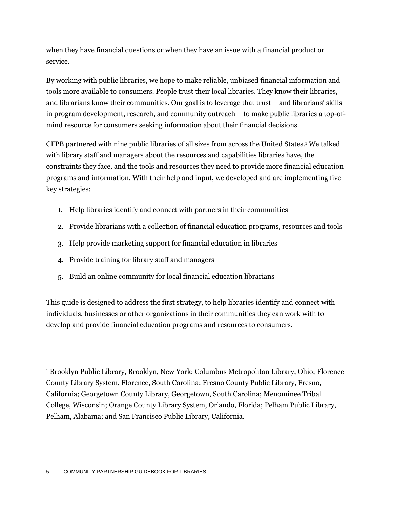when they have financial questions or when they have an issue with a financial product or service.

By working with public libraries, we hope to make reliable, unbiased financial information and tools more available to consumers. People trust their local libraries. They know their libraries, and librarians know their communities. Our goal is to leverage that trust – and librarians' skills in program development, research, and community outreach – to make public libraries a top-ofmind resource for consumers seeking information about their financial decisions.

CFPB partnered with nine public libraries of all sizes from across the United States.<sup>1</sup> We talked with library staff and managers about the resources and capabilities libraries have, the constraints they face, and the tools and resources they need to provide more financial education programs and information. With their help and input, we developed and are implementing five key strategies:

- 1. Help libraries identify and connect with partners in their communities
- 2. Provide librarians with a collection of financial education programs, resources and tools
- 3. Help provide marketing support for financial education in libraries
- 4. Provide training for library staff and managers
- 5. Build an online community for local financial education librarians

This guide is designed to address the first strategy, to help libraries identify and connect with individuals, businesses or other organizations in their communities they can work with to develop and provide financial education programs and resources to consumers.

 $\overline{a}$ <sup>1</sup> Brooklyn Public Library, Brooklyn, New York; Columbus Metropolitan Library, Ohio; Florence County Library System, Florence, South Carolina; Fresno County Public Library, Fresno, California; Georgetown County Library, Georgetown, South Carolina; Menominee Tribal College, Wisconsin; Orange County Library System, Orlando, Florida; Pelham Public Library, Pelham, Alabama; and San Francisco Public Library, California.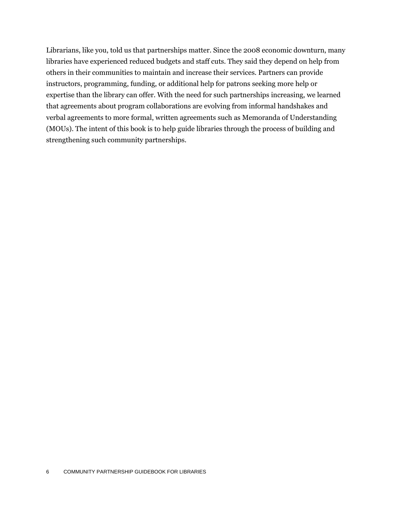Librarians, like you, told us that partnerships matter. Since the 2008 economic downturn, many libraries have experienced reduced budgets and staff cuts. They said they depend on help from others in their communities to maintain and increase their services. Partners can provide instructors, programming, funding, or additional help for patrons seeking more help or expertise than the library can offer. With the need for such partnerships increasing, we learned that agreements about program collaborations are evolving from informal handshakes and verbal agreements to more formal, written agreements such as Memoranda of Understanding (MOUs). The intent of this book is to help guide libraries through the process of building and strengthening such community partnerships.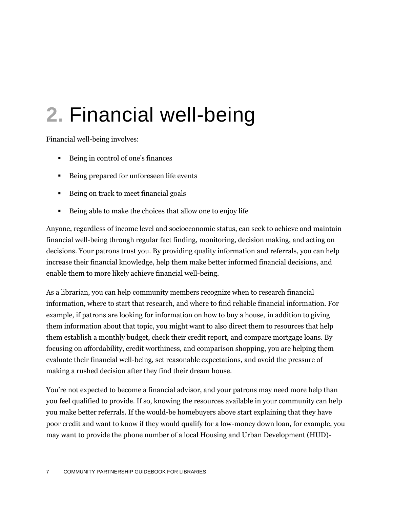## **2.** Financial well-being

Financial well-being involves:

- Being in control of one's finances
- Being prepared for unforeseen life events
- Being on track to meet financial goals
- Being able to make the choices that allow one to enjoy life

Anyone, regardless of income level and socioeconomic status, can seek to achieve and maintain financial well-being through regular fact finding, monitoring, decision making, and acting on decisions. Your patrons trust you. By providing quality information and referrals, you can help increase their financial knowledge, help them make better informed financial decisions, and enable them to more likely achieve financial well-being.

As a librarian, you can help community members recognize when to research financial information, where to start that research, and where to find reliable financial information. For example, if patrons are looking for information on how to buy a house, in addition to giving them information about that topic, you might want to also direct them to resources that help them establish a monthly budget, check their credit report, and compare mortgage loans. By focusing on affordability, credit worthiness, and comparison shopping, you are helping them evaluate their financial well-being, set reasonable expectations, and avoid the pressure of making a rushed decision after they find their dream house.

You're not expected to become a financial advisor, and your patrons may need more help than you feel qualified to provide. If so, knowing the resources available in your community can help you make better referrals. If the would-be homebuyers above start explaining that they have poor credit and want to know if they would qualify for a low-money down loan, for example, you may want to provide the phone number of a local Housing and Urban Development (HUD)-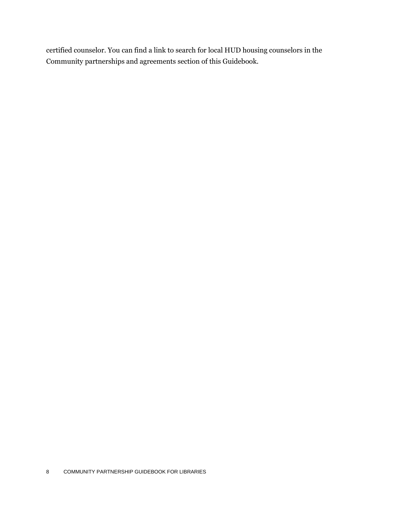certified counselor. You can find a link to search for local HUD housing counselors in the Community partnerships and agreements section of this Guidebook.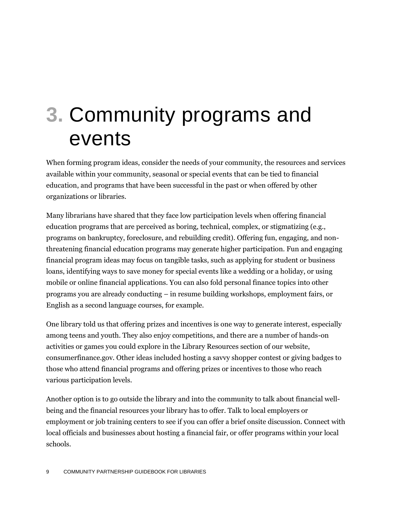### **3.** Community programs and events

When forming program ideas, consider the needs of your community, the resources and services available within your community, seasonal or special events that can be tied to financial education, and programs that have been successful in the past or when offered by other organizations or libraries.

Many librarians have shared that they face low participation levels when offering financial education programs that are perceived as boring, technical, complex, or stigmatizing (e.g., programs on bankruptcy, foreclosure, and rebuilding credit). Offering fun, engaging, and nonthreatening financial education programs may generate higher participation. Fun and engaging financial program ideas may focus on tangible tasks, such as applying for student or business loans, identifying ways to save money for special events like a wedding or a holiday, or using mobile or online financial applications. You can also fold personal finance topics into other programs you are already conducting – in resume building workshops, employment fairs, or English as a second language courses, for example.

One library told us that offering prizes and incentives is one way to generate interest, especially among teens and youth. They also enjoy competitions, and there are a number of hands-on activities or games you could explore in the Library Resources section of our website, consumerfinance.gov. Other ideas included hosting a savvy shopper contest or giving badges to those who attend financial programs and offering prizes or incentives to those who reach various participation levels.

Another option is to go outside the library and into the community to talk about financial wellbeing and the financial resources your library has to offer. Talk to local employers or employment or job training centers to see if you can offer a brief onsite discussion. Connect with local officials and businesses about hosting a financial fair, or offer programs within your local schools.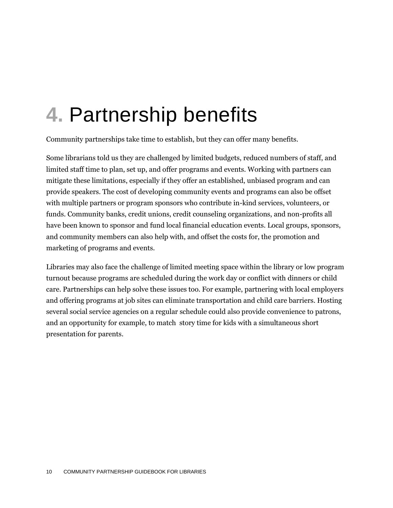## **4.** Partnership benefits

Community partnerships take time to establish, but they can offer many benefits.

Some librarians told us they are challenged by limited budgets, reduced numbers of staff, and limited staff time to plan, set up, and offer programs and events. Working with partners can mitigate these limitations, especially if they offer an established, unbiased program and can provide speakers. The cost of developing community events and programs can also be offset with multiple partners or program sponsors who contribute in-kind services, volunteers, or funds. Community banks, credit unions, credit counseling organizations, and non-profits all have been known to sponsor and fund local financial education events. Local groups, sponsors, and community members can also help with, and offset the costs for, the promotion and marketing of programs and events.

Libraries may also face the challenge of limited meeting space within the library or low program turnout because programs are scheduled during the work day or conflict with dinners or child care. Partnerships can help solve these issues too. For example, partnering with local employers and offering programs at job sites can eliminate transportation and child care barriers. Hosting several social service agencies on a regular schedule could also provide convenience to patrons, and an opportunity for example, to match story time for kids with a simultaneous short presentation for parents.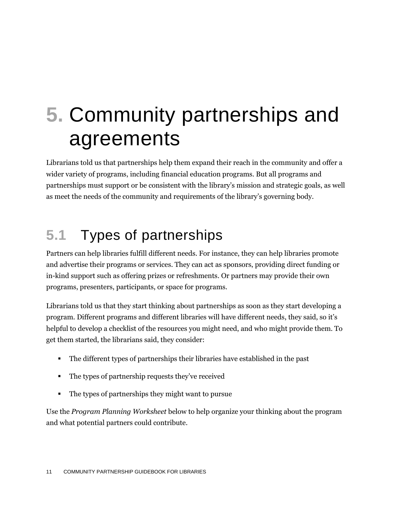## **5.** Community partnerships and agreements

Librarians told us that partnerships help them expand their reach in the community and offer a wider variety of programs, including financial education programs. But all programs and partnerships must support or be consistent with the library's mission and strategic goals, as well as meet the needs of the community and requirements of the library's governing body.

### **5.1** Types of partnerships

Partners can help libraries fulfill different needs. For instance, they can help libraries promote and advertise their programs or services. They can act as sponsors, providing direct funding or in-kind support such as offering prizes or refreshments. Or partners may provide their own programs, presenters, participants, or space for programs.

Librarians told us that they start thinking about partnerships as soon as they start developing a program. Different programs and different libraries will have different needs, they said, so it's helpful to develop a checklist of the resources you might need, and who might provide them. To get them started, the librarians said, they consider:

- The different types of partnerships their libraries have established in the past
- The types of partnership requests they've received
- The types of partnerships they might want to pursue

Use the *Program Planning Worksheet* below to help organize your thinking about the program and what potential partners could contribute.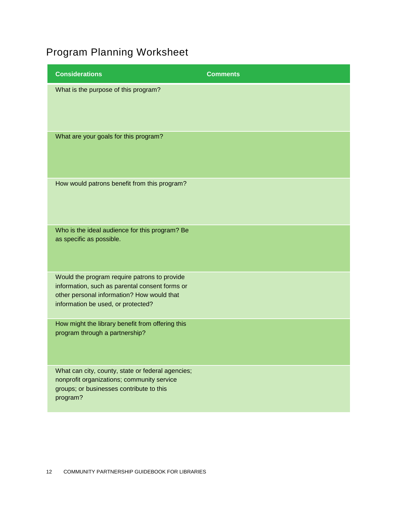### Program Planning Worksheet

| <b>Comments</b> |
|-----------------|
|                 |
|                 |
|                 |
|                 |
|                 |
|                 |
|                 |
|                 |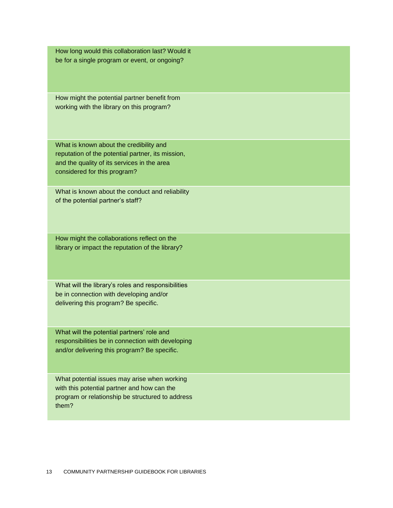How long would this collaboration last? Would it be for a single program or event, or ongoing?

How might the potential partner benefit from working with the library on this program?

What is known about the credibility and reputation of the potential partner, its mission, and the quality of its services in the area considered for this program?

What is known about the conduct and reliability of the potential partner's staff?

How might the collaborations reflect on the library or impact the reputation of the library?

What will the library's roles and responsibilities be in connection with developing and/or delivering this program? Be specific.

What will the potential partners' role and responsibilities be in connection with developing and/or delivering this program? Be specific.

What potential issues may arise when working with this potential partner and how can the program or relationship be structured to address them?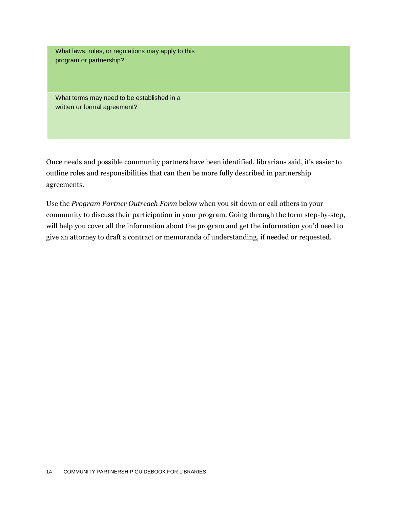What laws, rules, or regulations may apply to this program or partnership?

What terms may need to be established in a written or formal agreement?

Once needs and possible community partners have been identified, librarians said, it's easier to outline roles and responsibilities that can then be more fully described in partnership agreements.

Use the *Program Partner Outreach Form* below when you sit down or call others in your community to discuss their participation in your program. Going through the form step-by-step, will help you cover all the information about the program and get the information you'd need to give an attorney to draft a contract or memoranda of understanding, if needed or requested.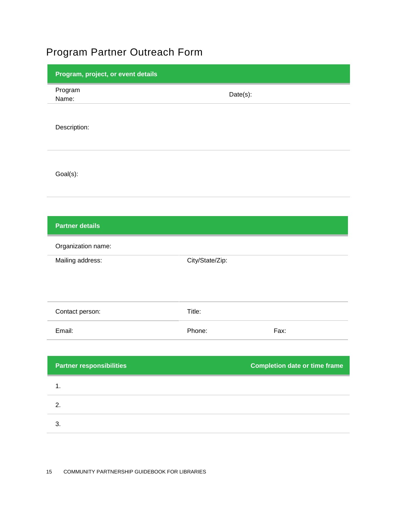### Program Partner Outreach Form

| Program, project, or event details |                 |                                      |  |
|------------------------------------|-----------------|--------------------------------------|--|
| Program<br>Name:                   | Date(s):        |                                      |  |
| Description:                       |                 |                                      |  |
| Goal(s):                           |                 |                                      |  |
| <b>Partner details</b>             |                 |                                      |  |
| Organization name:                 |                 |                                      |  |
| Mailing address:                   | City/State/Zip: |                                      |  |
|                                    |                 |                                      |  |
| Contact person:                    | Title:          |                                      |  |
| Email:                             | Phone:          | Fax:                                 |  |
|                                    |                 |                                      |  |
| <b>Partner responsibilities</b>    |                 | <b>Completion date or time frame</b> |  |
| 1.                                 |                 |                                      |  |
| 2.                                 |                 |                                      |  |
| 3.                                 |                 |                                      |  |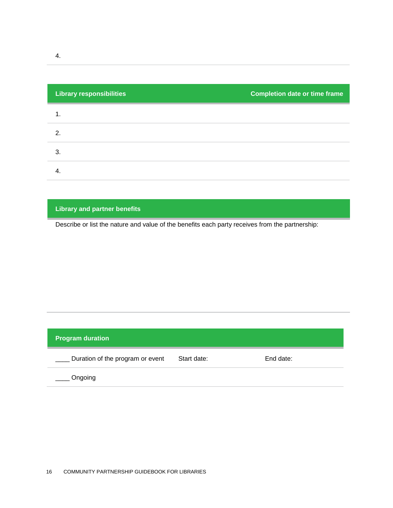| <b>Library responsibilities</b> | <b>Completion date or time frame</b> |
|---------------------------------|--------------------------------------|
|                                 |                                      |
| 2.                              |                                      |
| 3.                              |                                      |
| 4.                              |                                      |

#### **Library and partner benefits**

Describe or list the nature and value of the benefits each party receives from the partnership:

| <b>Program duration</b>          |             |           |  |  |  |  |  |
|----------------------------------|-------------|-----------|--|--|--|--|--|
| Duration of the program or event | Start date: | End date: |  |  |  |  |  |
| Ongoing                          |             |           |  |  |  |  |  |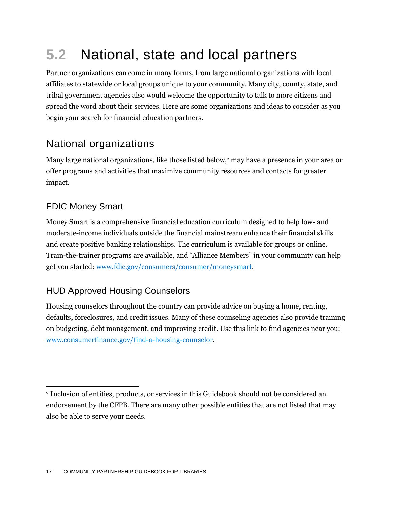### **5.2** National, state and local partners

Partner organizations can come in many forms, from large national organizations with local affiliates to statewide or local groups unique to your community. Many city, county, state, and tribal government agencies also would welcome the opportunity to talk to more citizens and spread the word about their services. Here are some organizations and ideas to consider as you begin your search for financial education partners.

#### National organizations

Many large national organizations, like those listed below,<sup>2</sup> may have a presence in your area or offer programs and activities that maximize community resources and contacts for greater impact.

#### FDIC Money Smart

Money Smart is a comprehensive financial education curriculum designed to help low- and moderate-income individuals outside the financial mainstream enhance their financial skills and create positive banking relationships. The curriculum is available for groups or online. Train-the-trainer programs are available, and "Alliance Members" in your community can help get you started: [www.fdic.gov/consumers/consumer/moneysmart.](http://www.fdic.gov/consumers/consumer/moneysmart/)

#### HUD Approved Housing Counselors

Housing counselors throughout the country can provide advice on buying a home, renting, defaults, foreclosures, and credit issues. Many of these counseling agencies also provide training on budgeting, debt management, and improving credit. Use this link to find agencies near you: [www.consumerfinance.gov/find-a-housing-counselor.](http://www.consumerfinance.gov/find-a-housing-counselor)

 $\overline{a}$ <sup>2</sup> Inclusion of entities, products, or services in this Guidebook should not be considered an endorsement by the CFPB. There are many other possible entities that are not listed that may also be able to serve your needs.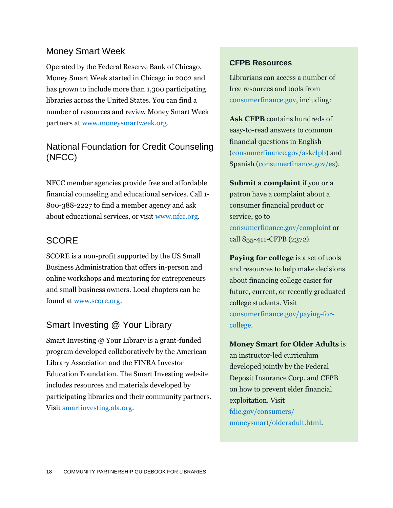#### Money Smart Week

Operated by the Federal Reserve Bank of Chicago, Money Smart Week started in Chicago in 2002 and has grown to include more than 1,300 participating libraries across the United States. You can find a number of resources and review Money Smart Week partners at [www.moneysmartweek.org.](http://www.moneysmartweek.org/)

#### National Foundation for Credit Counseling (NFCC)

NFCC member agencies provide free and affordable financial counseling and educational services. Call 1- 800-388-2227 to find a member agency and ask about educational services, or visit [www.nfcc.org.](http://www.nfcc.org/)

#### **SCORE**

SCORE is a non-profit supported by the US Small Business Administration that offers in-person and online workshops and mentoring for entrepreneurs and small business owners. Local chapters can be found at [www.score.org.](http://www.score.org/)

#### Smart Investing @ Your Library

Smart Investing @ Your Library is a grant-funded program developed collaboratively by the American Library Association and the FINRA Investor Education Foundation. The Smart Investing website includes resources and materials developed by participating libraries and their community partners. Visit [smartinvesting.ala.org.](http://smartinvesting.ala.org/)

#### **CFPB Resources**

Librarians can access a number of free resources and tools from [consumerfinance.gov,](http://www.consumerfinance.gov/) including:

**Ask CFPB** contains hundreds of easy-to-read answers to common financial questions in English [\(consumerfinance.gov/askcfpb\)](http://www.consumerfinance.gov/askcfpb/) and Spanish [\(consumerfinance.gov/es\)](http://www.consumerfinance.gov/es/).

**Submit a complaint** if you or a patron have a complaint about a consumer financial product or service, go to [consumerfinance.gov/complaint](http://www.consumerfinance.gov/complaint) or call 855-411-CFPB (2372).

**Paying for college** is a set of tools and resources to help make decisions about financing college easier for future, current, or recently graduated college students. Visit [consumerfinance.gov/paying-for](http://www.consumerfinance.gov/paying-for-college/)[college.](http://www.consumerfinance.gov/paying-for-college/)

**Money Smart for Older Adults** is an instructor-led curriculum developed jointly by the Federal Deposit Insurance Corp. and CFPB on how to prevent elder financial exploitation. Visit [fdic.gov/consumers/](http://www.fdic.gov/consumers/consumer/moneysmart/olderadult.html)  [moneysmart/olderadult.html.](http://www.fdic.gov/consumers/consumer/moneysmart/olderadult.html)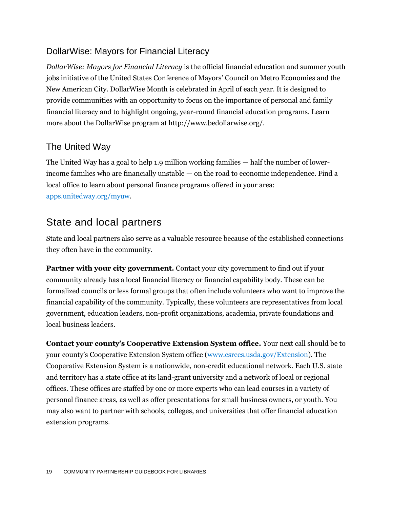#### DollarWise: Mayors for Financial Literacy

*DollarWise: Mayors for Financial Literacy* is the official financial education and summer youth jobs initiative of the United States Conference of Mayors' Council on Metro Economies and the New American City. DollarWise Month is celebrated in April of each year. It is designed to provide communities with an opportunity to focus on the importance of personal and family financial literacy and to highlight ongoing, year-round financial education programs. Learn more about the DollarWise program at http://www.bedollarwise.org/.

#### The United Way

The United Way has a goal to help 1.9 million working families — half the number of lowerincome families who are financially unstable — on the road to economic independence. Find a local office to learn about personal finance programs offered in your area: [apps.unitedway.org/myuw.](http://apps.unitedway.org/myuw/)

#### State and local partners

State and local partners also serve as a valuable resource because of the established connections they often have in the community.

**Partner with your city government.** Contact your city government to find out if your community already has a local financial literacy or financial capability body. These can be formalized councils or less formal groups that often include volunteers who want to improve the financial capability of the community. Typically, these volunteers are representatives from local government, education leaders, non-profit organizations, academia, private foundations and local business leaders.

**Contact your county's Cooperative Extension System office.** Your next call should be to your county's Cooperative Extension System office ([www.csrees.usda.gov/Extension\)](http://www.csrees.usda.gov/Extension). The Cooperative Extension System is a nationwide, non-credit educational network. Each U.S. state and territory has a state office at its land-grant university and a network of local or regional offices. These offices are staffed by one or more experts who can lead courses in a variety of personal finance areas, as well as offer presentations for small business owners, or youth. You may also want to partner with schools, colleges, and universities that offer financial education extension programs.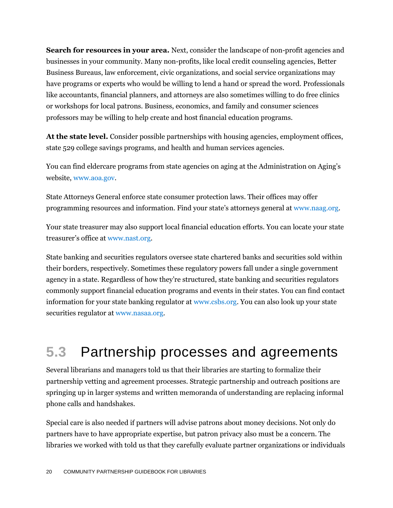**Search for resources in your area.** Next, consider the landscape of non-profit agencies and businesses in your community. Many non-profits, like local credit counseling agencies, Better Business Bureaus, law enforcement, civic organizations, and social service organizations may have programs or experts who would be willing to lend a hand or spread the word. Professionals like accountants, financial planners, and attorneys are also sometimes willing to do free clinics or workshops for local patrons. Business, economics, and family and consumer sciences professors may be willing to help create and host financial education programs.

**At the state level.** Consider possible partnerships with housing agencies, employment offices, state 529 college savings programs, and health and human services agencies.

You can find eldercare programs from state agencies on aging at the Administration on Aging's website, [www.aoa.gov.](http://www.aoa.gov/)

State Attorneys General enforce state consumer protection laws. Their offices may offer programming resources and information. Find your state's attorneys general at [www.naag.org.](http://www.naag.org/)

Your state treasurer may also support local financial education efforts. You can locate your state treasurer's office at [www.nast.org.](http://www.nast.org/)

State banking and securities regulators oversee state chartered banks and securities sold within their borders, respectively. Sometimes these regulatory powers fall under a single government agency in a state. Regardless of how they're structured, state banking and securities regulators commonly support financial education programs and events in their states. You can find contact information for your state banking regulator at [www.csbs.org.](http://www.csbs.org/about/what/Pages/StateBankingDepartmentLinks.aspx) You can also look up your state securities regulator at [www.nasaa.org.](http://www.nasaa.org/)

### **5.3** Partnership processes and agreements

Several librarians and managers told us that their libraries are starting to formalize their partnership vetting and agreement processes. Strategic partnership and outreach positions are springing up in larger systems and written memoranda of understanding are replacing informal phone calls and handshakes.

Special care is also needed if partners will advise patrons about money decisions. Not only do partners have to have appropriate expertise, but patron privacy also must be a concern. The libraries we worked with told us that they carefully evaluate partner organizations or individuals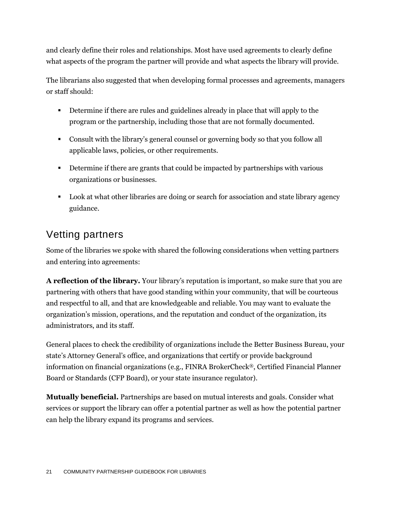and clearly define their roles and relationships. Most have used agreements to clearly define what aspects of the program the partner will provide and what aspects the library will provide.

The librarians also suggested that when developing formal processes and agreements, managers or staff should:

- Determine if there are rules and guidelines already in place that will apply to the program or the partnership, including those that are not formally documented.
- Consult with the library's general counsel or governing body so that you follow all applicable laws, policies, or other requirements.
- **Determine if there are grants that could be impacted by partnerships with various** organizations or businesses.
- **Look at what other libraries are doing or search for association and state library agency** guidance.

#### Vetting partners

Some of the libraries we spoke with shared the following considerations when vetting partners and entering into agreements:

**A reflection of the library.** Your library's reputation is important, so make sure that you are partnering with others that have good standing within your community, that will be courteous and respectful to all, and that are knowledgeable and reliable. You may want to evaluate the organization's mission, operations, and the reputation and conduct of the organization, its administrators, and its staff.

General places to check the credibility of organizations include the Better Business Bureau, your state's Attorney General's office, and organizations that certify or provide background information on financial organizations (e.g., FINRA BrokerCheck®, Certified Financial Planner Board or Standards (CFP Board), or your state insurance regulator).

**Mutually beneficial.** Partnerships are based on mutual interests and goals. Consider what services or support the library can offer a potential partner as well as how the potential partner can help the library expand its programs and services.